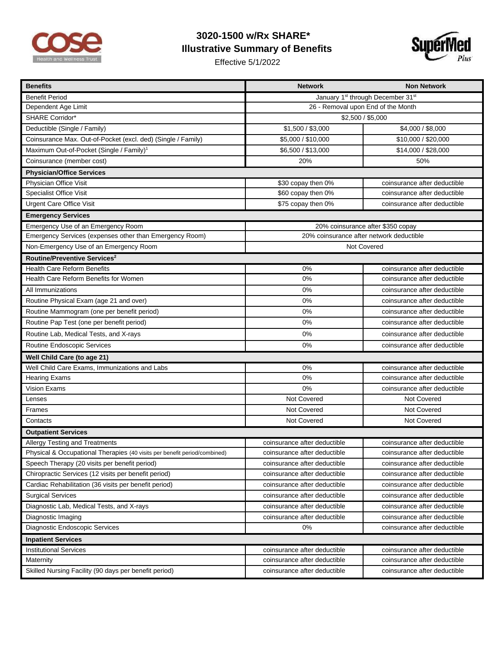

## **3020-1500 w/Rx SHARE\* Illustrative Summary of Benefits**

Effective 5/1/2022



| <b>Benefits</b>                                                           | <b>Network</b>                                            | <b>Non Network</b>           |
|---------------------------------------------------------------------------|-----------------------------------------------------------|------------------------------|
| <b>Benefit Period</b>                                                     | January 1 <sup>st</sup> through December 31 <sup>st</sup> |                              |
| Dependent Age Limit                                                       | 26 - Removal upon End of the Month                        |                              |
| <b>SHARE Corridor*</b>                                                    | \$2,500 / \$5,000                                         |                              |
| Deductible (Single / Family)                                              | \$1,500 / \$3,000                                         | \$4,000 / \$8,000            |
| Coinsurance Max. Out-of-Pocket (excl. ded) (Single / Family)              | \$5,000 / \$10,000                                        | \$10,000 / \$20,000          |
| Maximum Out-of-Pocket (Single / Family) <sup>1</sup>                      | \$6,500 / \$13,000                                        | \$14,000 / \$28,000          |
| Coinsurance (member cost)                                                 | 20%                                                       | 50%                          |
| <b>Physician/Office Services</b>                                          |                                                           |                              |
| Physician Office Visit                                                    | \$30 copay then 0%                                        | coinsurance after deductible |
| <b>Specialist Office Visit</b>                                            | \$60 copay then 0%                                        | coinsurance after deductible |
| <b>Urgent Care Office Visit</b>                                           | \$75 copay then 0%                                        | coinsurance after deductible |
| <b>Emergency Services</b>                                                 |                                                           |                              |
| Emergency Use of an Emergency Room                                        | 20% coinsurance after \$350 copay                         |                              |
| Emergency Services (expenses other than Emergency Room)                   | 20% coinsurance after network deductible                  |                              |
| Non-Emergency Use of an Emergency Room                                    | Not Covered                                               |                              |
| Routine/Preventive Services <sup>2</sup>                                  |                                                           |                              |
| <b>Health Care Reform Benefits</b>                                        | 0%                                                        | coinsurance after deductible |
| Health Care Reform Benefits for Women                                     | 0%                                                        | coinsurance after deductible |
| All Immunizations                                                         | 0%                                                        | coinsurance after deductible |
| Routine Physical Exam (age 21 and over)                                   | 0%                                                        | coinsurance after deductible |
| Routine Mammogram (one per benefit period)                                | 0%                                                        | coinsurance after deductible |
| Routine Pap Test (one per benefit period)                                 | 0%                                                        | coinsurance after deductible |
| Routine Lab, Medical Tests, and X-rays                                    | 0%                                                        | coinsurance after deductible |
| Routine Endoscopic Services                                               | 0%                                                        | coinsurance after deductible |
| Well Child Care (to age 21)                                               |                                                           |                              |
| Well Child Care Exams, Immunizations and Labs                             | 0%                                                        | coinsurance after deductible |
| <b>Hearing Exams</b>                                                      | 0%                                                        | coinsurance after deductible |
| Vision Exams                                                              | 0%                                                        | coinsurance after deductible |
| Lenses                                                                    | Not Covered                                               | Not Covered                  |
| Frames                                                                    | Not Covered                                               | Not Covered                  |
| Contacts                                                                  | Not Covered                                               | Not Covered                  |
| <b>Outpatient Services</b>                                                |                                                           |                              |
| Allergy Testing and Treatments                                            | coinsurance after deductible                              | coinsurance after deductible |
| Physical & Occupational Therapies (40 visits per benefit period/combined) | coinsurance after deductible                              | coinsurance after deductible |
| Speech Therapy (20 visits per benefit period)                             | coinsurance after deductible                              | coinsurance after deductible |
| Chiropractic Services (12 visits per benefit period)                      | coinsurance after deductible                              | coinsurance after deductible |
| Cardiac Rehabilitation (36 visits per benefit period)                     | coinsurance after deductible                              | coinsurance after deductible |
| <b>Surgical Services</b>                                                  | coinsurance after deductible                              | coinsurance after deductible |
| Diagnostic Lab, Medical Tests, and X-rays                                 | coinsurance after deductible                              | coinsurance after deductible |
| Diagnostic Imaging                                                        | coinsurance after deductible                              | coinsurance after deductible |
| Diagnostic Endoscopic Services                                            | 0%                                                        | coinsurance after deductible |
| <b>Inpatient Services</b>                                                 |                                                           |                              |
| <b>Institutional Services</b>                                             | coinsurance after deductible                              | coinsurance after deductible |
| Maternity                                                                 | coinsurance after deductible                              | coinsurance after deductible |
| Skilled Nursing Facility (90 days per benefit period)                     | coinsurance after deductible                              | coinsurance after deductible |
|                                                                           |                                                           |                              |